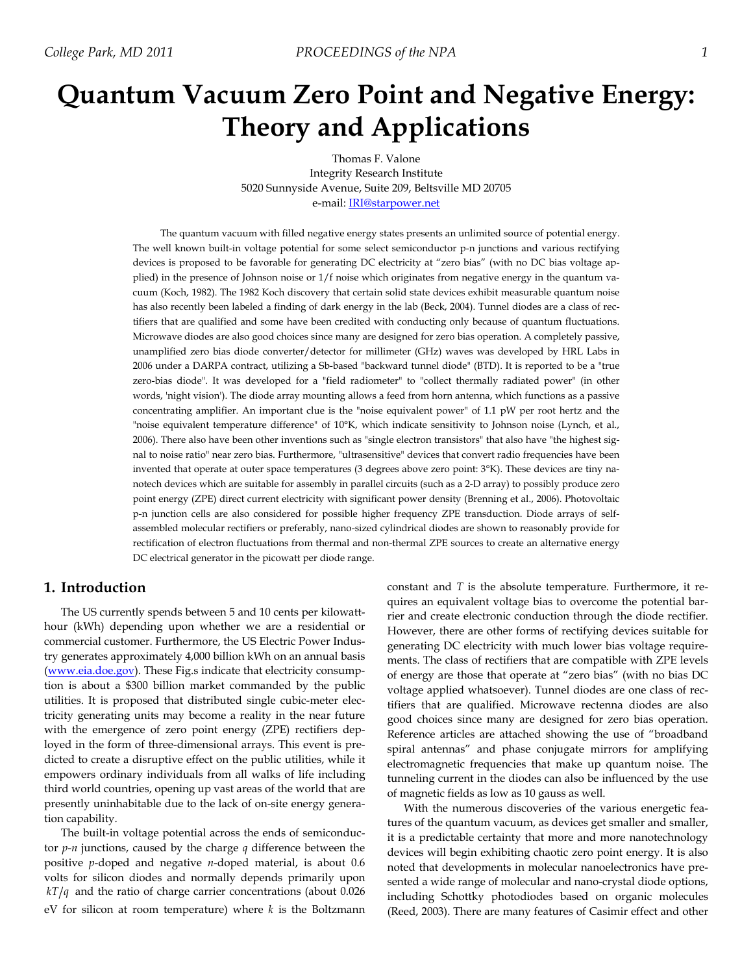# **Quantum Vacuum Zero Point and Negative Energy: Theory and Applications**

Thomas F. Valone Integrity Research Institute 5020 Sunnyside Avenue, Suite 209, Beltsville MD 20705 e-mail: IRI@starpower.net

The quantum vacuum with filled negative energy states presents an unlimited source of potential energy. The well known built-in voltage potential for some select semiconductor p-n junctions and various rectifying devices is proposed to be favorable for generating DC electricity at "zero bias" (with no DC bias voltage applied) in the presence of Johnson noise or 1/f noise which originates from negative energy in the quantum vacuum (Koch, 1982). The 1982 Koch discovery that certain solid state devices exhibit measurable quantum noise has also recently been labeled a finding of dark energy in the lab (Beck, 2004). Tunnel diodes are a class of rectifiers that are qualified and some have been credited with conducting only because of quantum fluctuations. Microwave diodes are also good choices since many are designed for zero bias operation. A completely passive, unamplified zero bias diode converter/detector for millimeter (GHz) waves was developed by HRL Labs in 2006 under a DARPA contract, utilizing a Sb-based "backward tunnel diode" (BTD). It is reported to be a "true zero-bias diode". It was developed for a "field radiometer" to "collect thermally radiated power" (in other words, 'night vision'). The diode array mounting allows a feed from horn antenna, which functions as a passive concentrating amplifier. An important clue is the "noise equivalent power" of 1.1 pW per root hertz and the "noise equivalent temperature difference" of 10°K, which indicate sensitivity to Johnson noise (Lynch, et al., 2006). There also have been other inventions such as "single electron transistors" that also have "the highest signal to noise ratio" near zero bias. Furthermore, "ultrasensitive" devices that convert radio frequencies have been invented that operate at outer space temperatures (3 degrees above zero point: 3°K). These devices are tiny nanotech devices which are suitable for assembly in parallel circuits (such as a 2-D array) to possibly produce zero point energy (ZPE) direct current electricity with significant power density (Brenning et al., 2006). Photovoltaic p-n junction cells are also considered for possible higher frequency ZPE transduction. Diode arrays of selfassembled molecular rectifiers or preferably, nano-sized cylindrical diodes are shown to reasonably provide for rectification of electron fluctuations from thermal and non-thermal ZPE sources to create an alternative energy DC electrical generator in the picowatt per diode range.

## **1. Introduction**

The US currently spends between 5 and 10 cents per kilowatthour (kWh) depending upon whether we are a residential or commercial customer. Furthermore, the US Electric Power Industry generates approximately 4,000 billion kWh on an annual basis (www.eia.doe.gov). These Fig.s indicate that electricity consumption is about a \$300 billion market commanded by the public utilities. It is proposed that distributed single cubic-meter electricity generating units may become a reality in the near future with the emergence of zero point energy (ZPE) rectifiers deployed in the form of three-dimensional arrays. This event is predicted to create a disruptive effect on the public utilities, while it empowers ordinary individuals from all walks of life including third world countries, opening up vast areas of the world that are presently uninhabitable due to the lack of on-site energy generation capability.

The built-in voltage potential across the ends of semiconductor *p-n* junctions, caused by the charge *q* difference between the positive *p*-doped and negative *n*-doped material, is about 0.6 volts for silicon diodes and normally depends primarily upon  $kT/q$  and the ratio of charge carrier concentrations (about 0.026) eV for silicon at room temperature) where *k* is the Boltzmann constant and *T* is the absolute temperature. Furthermore, it requires an equivalent voltage bias to overcome the potential barrier and create electronic conduction through the diode rectifier. However, there are other forms of rectifying devices suitable for generating DC electricity with much lower bias voltage requirements. The class of rectifiers that are compatible with ZPE levels of energy are those that operate at "zero bias" (with no bias DC voltage applied whatsoever). Tunnel diodes are one class of rectifiers that are qualified. Microwave rectenna diodes are also good choices since many are designed for zero bias operation. Reference articles are attached showing the use of "broadband spiral antennas" and phase conjugate mirrors for amplifying electromagnetic frequencies that make up quantum noise. The tunneling current in the diodes can also be influenced by the use of magnetic fields as low as 10 gauss as well.

With the numerous discoveries of the various energetic features of the quantum vacuum, as devices get smaller and smaller, it is a predictable certainty that more and more nanotechnology devices will begin exhibiting chaotic zero point energy. It is also noted that developments in molecular nanoelectronics have presented a wide range of molecular and nano-crystal diode options, including Schottky photodiodes based on organic molecules (Reed, 2003). There are many features of Casimir effect and other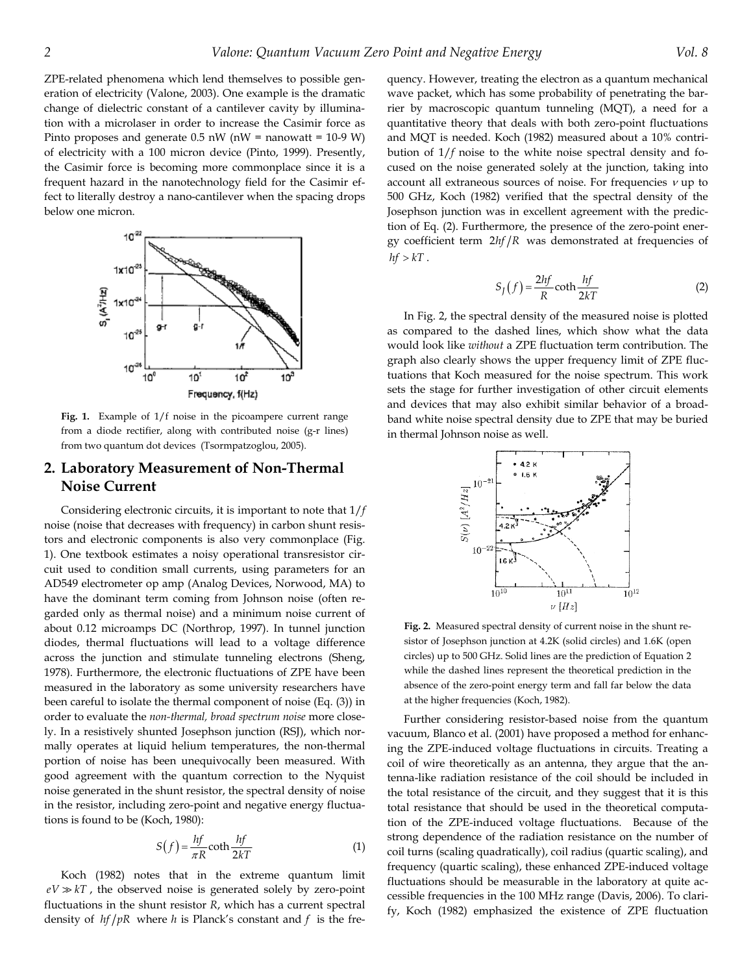ZPE-related phenomena which lend themselves to possible generation of electricity (Valone, 2003). One example is the dramatic change of dielectric constant of a cantilever cavity by illumination with a microlaser in order to increase the Casimir force as Pinto proposes and generate  $0.5$  nW (nW = nanowatt = 10-9 W) of electricity with a 100 micron device (Pinto, 1999). Presently, the Casimir force is becoming more commonplace since it is a frequent hazard in the nanotechnology field for the Casimir effect to literally destroy a nano-cantilever when the spacing drops below one micron.



**Fig. 1.** Example of 1/f noise in the picoampere current range from a diode rectifier, along with contributed noise (g-r lines) from two quantum dot devices (Tsormpatzoglou, 2005).

### **2. Laboratory Measurement of Non-Thermal Noise Current**

Considering electronic circuits, it is important to note that 1/*f* noise (noise that decreases with frequency) in carbon shunt resistors and electronic components is also very commonplace (Fig. 1). One textbook estimates a noisy operational transresistor circuit used to condition small currents, using parameters for an AD549 electrometer op amp (Analog Devices, Norwood, MA) to have the dominant term coming from Johnson noise (often regarded only as thermal noise) and a minimum noise current of about 0.12 microamps DC (Northrop, 1997). In tunnel junction diodes, thermal fluctuations will lead to a voltage difference across the junction and stimulate tunneling electrons (Sheng, 1978). Furthermore, the electronic fluctuations of ZPE have been measured in the laboratory as some university researchers have been careful to isolate the thermal component of noise (Eq. (3)) in order to evaluate the *non-thermal, broad spectrum noise* more closely. In a resistively shunted Josephson junction (RSJ), which normally operates at liquid helium temperatures, the non-thermal portion of noise has been unequivocally been measured. With good agreement with the quantum correction to the Nyquist noise generated in the shunt resistor, the spectral density of noise in the resistor, including zero-point and negative energy fluctuations is found to be (Koch, 1980):

$$
S(f) = \frac{hf}{\pi R} \coth \frac{hf}{2kT}
$$
 (1)

Koch (1982) notes that in the extreme quantum limit  $eV \gg kT$ , the observed noise is generated solely by zero-point fluctuations in the shunt resistor *R*, which has a current spectral density of  $hf/pR$  where *h* is Planck's constant and *f* is the frequency. However, treating the electron as a quantum mechanical wave packet, which has some probability of penetrating the barrier by macroscopic quantum tunneling (MQT), a need for a quantitative theory that deals with both zero-point fluctuations and MQT is needed. Koch (1982) measured about a 10% contribution of 1/*f* noise to the white noise spectral density and focused on the noise generated solely at the junction, taking into account all extraneous sources of noise. For frequencies  $\nu$  up to 500 GHz, Koch (1982) verified that the spectral density of the Josephson junction was in excellent agreement with the prediction of Eq. (2). Furthermore, the presence of the zero-point energy coefficient term  $2hf/R$  was demonstrated at frequencies of  $hf > kT$ .

$$
S_J(f) = \frac{2hf}{R} \coth \frac{hf}{2kT}
$$
 (2)

In Fig. 2, the spectral density of the measured noise is plotted as compared to the dashed lines, which show what the data would look like *without* a ZPE fluctuation term contribution. The graph also clearly shows the upper frequency limit of ZPE fluctuations that Koch measured for the noise spectrum. This work sets the stage for further investigation of other circuit elements and devices that may also exhibit similar behavior of a broadband white noise spectral density due to ZPE that may be buried in thermal Johnson noise as well.



**Fig. 2.** Measured spectral density of current noise in the shunt resistor of Josephson junction at 4.2K (solid circles) and 1.6K (open circles) up to 500 GHz. Solid lines are the prediction of Equation 2 while the dashed lines represent the theoretical prediction in the absence of the zero-point energy term and fall far below the data at the higher frequencies (Koch, 1982).

Further considering resistor-based noise from the quantum vacuum, Blanco et al. (2001) have proposed a method for enhancing the ZPE-induced voltage fluctuations in circuits. Treating a coil of wire theoretically as an antenna, they argue that the antenna-like radiation resistance of the coil should be included in the total resistance of the circuit, and they suggest that it is this total resistance that should be used in the theoretical computation of the ZPE-induced voltage fluctuations. Because of the strong dependence of the radiation resistance on the number of coil turns (scaling quadratically), coil radius (quartic scaling), and frequency (quartic scaling), these enhanced ZPE-induced voltage fluctuations should be measurable in the laboratory at quite accessible frequencies in the 100 MHz range (Davis, 2006). To clarify, Koch (1982) emphasized the existence of ZPE fluctuation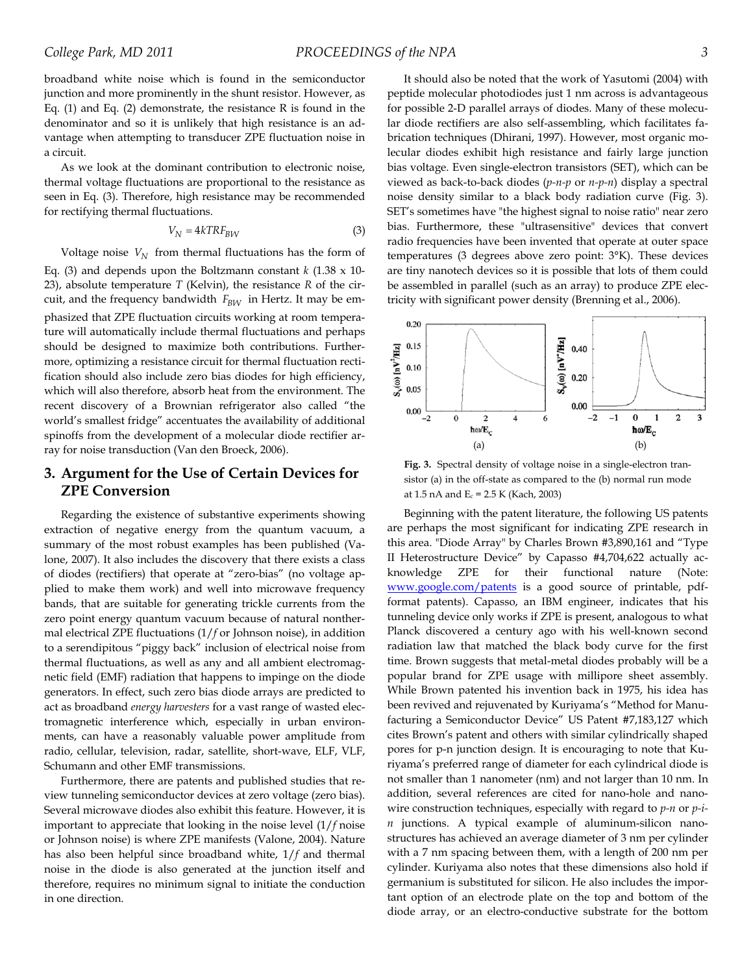broadband white noise which is found in the semiconductor junction and more prominently in the shunt resistor. However, as Eq. (1) and Eq. (2) demonstrate, the resistance R is found in the denominator and so it is unlikely that high resistance is an advantage when attempting to transducer ZPE fluctuation noise in a circuit.

As we look at the dominant contribution to electronic noise, thermal voltage fluctuations are proportional to the resistance as seen in Eq. (3). Therefore, high resistance may be recommended for rectifying thermal fluctuations.

$$
V_N = 4kTRF_{BW} \tag{3}
$$

Voltage noise  $V_N$  from thermal fluctuations has the form of Eq. (3) and depends upon the Boltzmann constant  $k$  (1.38  $x$  10-23), absolute temperature *T* (Kelvin), the resistance *R* of the circuit, and the frequency bandwidth  $F_{BW}$  in Hertz. It may be emphasized that ZPE fluctuation circuits working at room temperature will automatically include thermal fluctuations and perhaps should be designed to maximize both contributions. Furthermore, optimizing a resistance circuit for thermal fluctuation rectification should also include zero bias diodes for high efficiency, which will also therefore, absorb heat from the environment. The recent discovery of a Brownian refrigerator also called "the world's smallest fridge" accentuates the availability of additional spinoffs from the development of a molecular diode rectifier array for noise transduction (Van den Broeck, 2006).

# **3. Argument for the Use of Certain Devices for ZPE Conversion**

Regarding the existence of substantive experiments showing extraction of negative energy from the quantum vacuum, a summary of the most robust examples has been published (Valone, 2007). It also includes the discovery that there exists a class of diodes (rectifiers) that operate at "zero-bias" (no voltage applied to make them work) and well into microwave frequency bands, that are suitable for generating trickle currents from the zero point energy quantum vacuum because of natural nonthermal electrical ZPE fluctuations (1/*f* or Johnson noise), in addition to a serendipitous "piggy back" inclusion of electrical noise from thermal fluctuations, as well as any and all ambient electromagnetic field (EMF) radiation that happens to impinge on the diode generators. In effect, such zero bias diode arrays are predicted to act as broadband *energy harvesters* for a vast range of wasted electromagnetic interference which, especially in urban environments, can have a reasonably valuable power amplitude from radio, cellular, television, radar, satellite, short-wave, ELF, VLF, Schumann and other EMF transmissions.

Furthermore, there are patents and published studies that review tunneling semiconductor devices at zero voltage (zero bias). Several microwave diodes also exhibit this feature. However, it is important to appreciate that looking in the noise level (1/*f* noise or Johnson noise) is where ZPE manifests (Valone, 2004). Nature has also been helpful since broadband white, 1/*f* and thermal noise in the diode is also generated at the junction itself and therefore, requires no minimum signal to initiate the conduction in one direction.

It should also be noted that the work of Yasutomi (2004) with peptide molecular photodiodes just 1 nm across is advantageous for possible 2-D parallel arrays of diodes. Many of these molecular diode rectifiers are also self-assembling, which facilitates fabrication techniques (Dhirani, 1997). However, most organic molecular diodes exhibit high resistance and fairly large junction bias voltage. Even single-electron transistors (SET), which can be viewed as back-to-back diodes (*p-n-p* or *n-p-n*) display a spectral noise density similar to a black body radiation curve (Fig. 3). SET's sometimes have "the highest signal to noise ratio" near zero bias. Furthermore, these "ultrasensitive" devices that convert radio frequencies have been invented that operate at outer space temperatures (3 degrees above zero point: 3°K). These devices are tiny nanotech devices so it is possible that lots of them could be assembled in parallel (such as an array) to produce ZPE electricity with significant power density (Brenning et al., 2006).



**Fig. 3.** Spectral density of voltage noise in a single-electron transistor (a) in the off-state as compared to the (b) normal run mode at 1.5 nA and  $E_c = 2.5 K$  (Kach, 2003)

Beginning with the patent literature, the following US patents are perhaps the most significant for indicating ZPE research in this area. "Diode Array" by Charles Brown #3,890,161 and "Type II Heterostructure Device" by Capasso #4,704,622 actually acknowledge ZPE for their functional nature (Note: www.google.com/patents is a good source of printable, pdfformat patents). Capasso, an IBM engineer, indicates that his tunneling device only works if ZPE is present, analogous to what Planck discovered a century ago with his well-known second radiation law that matched the black body curve for the first time. Brown suggests that metal-metal diodes probably will be a popular brand for ZPE usage with millipore sheet assembly. While Brown patented his invention back in 1975, his idea has been revived and rejuvenated by Kuriyama's "Method for Manufacturing a Semiconductor Device" US Patent #7,183,127 which cites Brown's patent and others with similar cylindrically shaped pores for p-n junction design. It is encouraging to note that Kuriyama's preferred range of diameter for each cylindrical diode is not smaller than 1 nanometer (nm) and not larger than 10 nm. In addition, several references are cited for nano-hole and nanowire construction techniques, especially with regard to *p-n* or *p-in* junctions. A typical example of aluminum-silicon nanostructures has achieved an average diameter of 3 nm per cylinder with a 7 nm spacing between them, with a length of 200 nm per cylinder. Kuriyama also notes that these dimensions also hold if germanium is substituted for silicon. He also includes the important option of an electrode plate on the top and bottom of the diode array, or an electro-conductive substrate for the bottom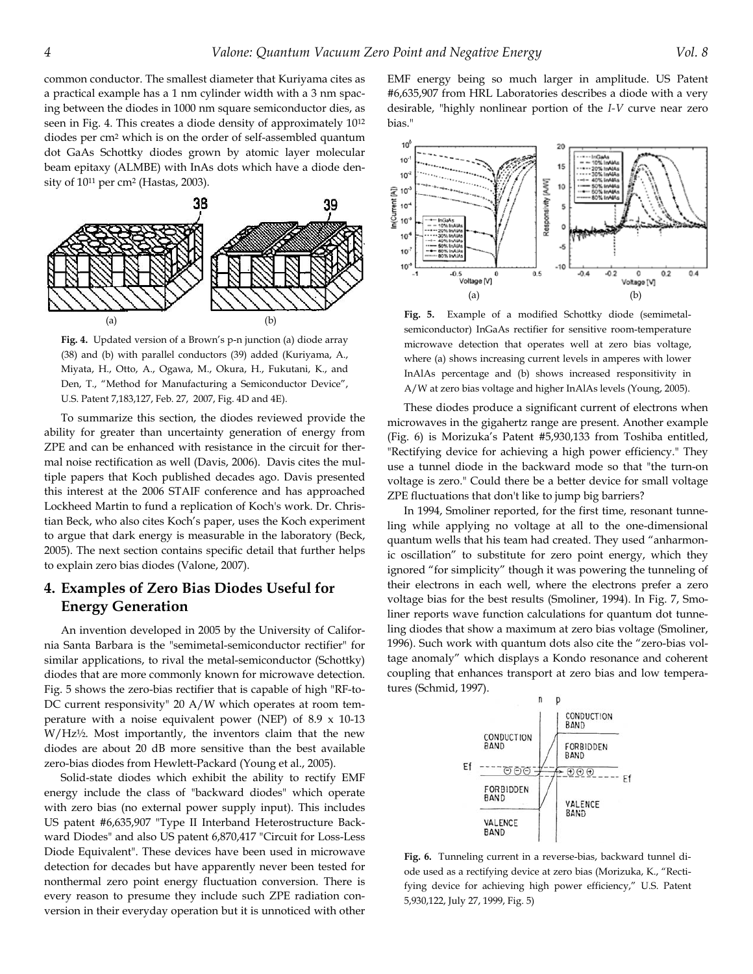common conductor. The smallest diameter that Kuriyama cites as a practical example has a 1 nm cylinder width with a 3 nm spacing between the diodes in 1000 nm square semiconductor dies, as seen in Fig. 4. This creates a diode density of approximately 1012 diodes per cm2 which is on the order of self-assembled quantum dot GaAs Schottky diodes grown by atomic layer molecular beam epitaxy (ALMBE) with InAs dots which have a diode density of 1011 per cm2 (Hastas, 2003).



**Fig. 4.** Updated version of a Brown's p-n junction (a) diode array (38) and (b) with parallel conductors (39) added (Kuriyama, A., Miyata, H., Otto, A., Ogawa, M., Okura, H., Fukutani, K., and Den, T., "Method for Manufacturing a Semiconductor Device", U.S. Patent 7,183,127, Feb. 27, 2007, Fig. 4D and 4E).

To summarize this section, the diodes reviewed provide the ability for greater than uncertainty generation of energy from ZPE and can be enhanced with resistance in the circuit for thermal noise rectification as well (Davis, 2006). Davis cites the multiple papers that Koch published decades ago. Davis presented this interest at the 2006 STAIF conference and has approached Lockheed Martin to fund a replication of Koch's work. Dr. Christian Beck, who also cites Koch's paper, uses the Koch experiment to argue that dark energy is measurable in the laboratory (Beck, 2005). The next section contains specific detail that further helps to explain zero bias diodes (Valone, 2007).

# **4. Examples of Zero Bias Diodes Useful for Energy Generation**

An invention developed in 2005 by the University of California Santa Barbara is the "semimetal-semiconductor rectifier" for similar applications, to rival the metal-semiconductor (Schottky) diodes that are more commonly known for microwave detection. Fig. 5 shows the zero-bias rectifier that is capable of high "RF-to-DC current responsivity" 20 A/W which operates at room temperature with a noise equivalent power (NEP) of  $8.9 \times 10-13$ W/Hz½. Most importantly, the inventors claim that the new diodes are about 20 dB more sensitive than the best available zero-bias diodes from Hewlett-Packard (Young et al., 2005).

Solid-state diodes which exhibit the ability to rectify EMF energy include the class of "backward diodes" which operate with zero bias (no external power supply input). This includes US patent #6,635,907 "Type II Interband Heterostructure Backward Diodes" and also US patent 6,870,417 "Circuit for Loss-Less Diode Equivalent". These devices have been used in microwave detection for decades but have apparently never been tested for nonthermal zero point energy fluctuation conversion. There is every reason to presume they include such ZPE radiation conversion in their everyday operation but it is unnoticed with other EMF energy being so much larger in amplitude. US Patent #6,635,907 from HRL Laboratories describes a diode with a very desirable, "highly nonlinear portion of the *I-V* curve near zero bias."



**Fig. 5.** Example of a modified Schottky diode (semimetalsemiconductor) InGaAs rectifier for sensitive room-temperature microwave detection that operates well at zero bias voltage, where (a) shows increasing current levels in amperes with lower InAlAs percentage and (b) shows increased responsitivity in A/W at zero bias voltage and higher InAlAs levels (Young, 2005).

These diodes produce a significant current of electrons when microwaves in the gigahertz range are present. Another example (Fig. 6) is Morizuka's Patent #5,930,133 from Toshiba entitled, "Rectifying device for achieving a high power efficiency." They use a tunnel diode in the backward mode so that "the turn-on voltage is zero." Could there be a better device for small voltage ZPE fluctuations that don't like to jump big barriers?

In 1994, Smoliner reported, for the first time, resonant tunneling while applying no voltage at all to the one-dimensional quantum wells that his team had created. They used "anharmonic oscillation" to substitute for zero point energy, which they ignored "for simplicity" though it was powering the tunneling of their electrons in each well, where the electrons prefer a zero voltage bias for the best results (Smoliner, 1994). In Fig. 7, Smoliner reports wave function calculations for quantum dot tunneling diodes that show a maximum at zero bias voltage (Smoliner, 1996). Such work with quantum dots also cite the "zero-bias voltage anomaly" which displays a Kondo resonance and coherent coupling that enhances transport at zero bias and low temperatures (Schmid, 1997).



**Fig. 6.** Tunneling current in a reverse-bias, backward tunnel diode used as a rectifying device at zero bias (Morizuka, K., "Rectifying device for achieving high power efficiency," U.S. Patent 5,930,122, July 27, 1999, Fig. 5)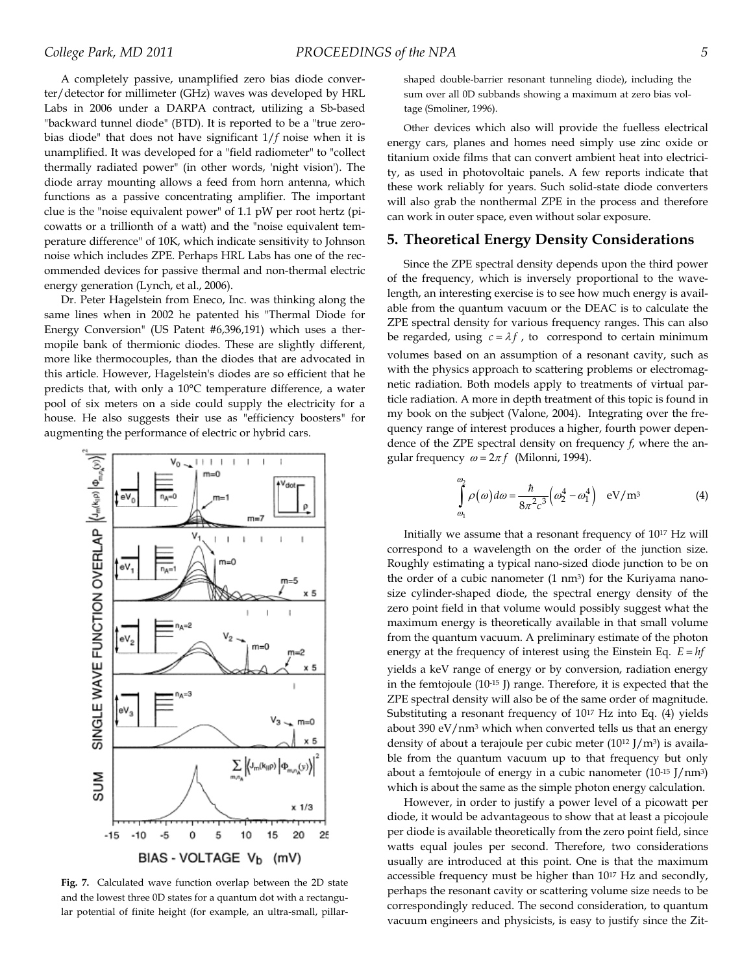A completely passive, unamplified zero bias diode converter/detector for millimeter (GHz) waves was developed by HRL Labs in 2006 under a DARPA contract, utilizing a Sb-based "backward tunnel diode" (BTD). It is reported to be a "true zerobias diode" that does not have significant 1/*f* noise when it is unamplified. It was developed for a "field radiometer" to "collect thermally radiated power" (in other words, 'night vision'). The diode array mounting allows a feed from horn antenna, which functions as a passive concentrating amplifier. The important clue is the "noise equivalent power" of 1.1 pW per root hertz (picowatts or a trillionth of a watt) and the "noise equivalent temperature difference" of 10K, which indicate sensitivity to Johnson noise which includes ZPE. Perhaps HRL Labs has one of the recommended devices for passive thermal and non-thermal electric energy generation (Lynch, et al., 2006).

Dr. Peter Hagelstein from Eneco, Inc. was thinking along the same lines when in 2002 he patented his "Thermal Diode for Energy Conversion" (US Patent #6,396,191) which uses a thermopile bank of thermionic diodes. These are slightly different, more like thermocouples, than the diodes that are advocated in this article. However, Hagelstein's diodes are so efficient that he predicts that, with only a 10°C temperature difference, a water pool of six meters on a side could supply the electricity for a house. He also suggests their use as "efficiency boosters" for augmenting the performance of electric or hybrid cars.



**Fig. 7.** Calculated wave function overlap between the 2D state and the lowest three 0D states for a quantum dot with a rectangular potential of finite height (for example, an ultra-small, pillar-

shaped double-barrier resonant tunneling diode), including the sum over all 0D subbands showing a maximum at zero bias voltage (Smoliner, 1996).

Other devices which also will provide the fuelless electrical energy cars, planes and homes need simply use zinc oxide or titanium oxide films that can convert ambient heat into electricity, as used in photovoltaic panels. A few reports indicate that these work reliably for years. Such solid-state diode converters will also grab the nonthermal ZPE in the process and therefore can work in outer space, even without solar exposure.

#### **5. Theoretical Energy Density Considerations**

Since the ZPE spectral density depends upon the third power of the frequency, which is inversely proportional to the wavelength, an interesting exercise is to see how much energy is available from the quantum vacuum or the DEAC is to calculate the ZPE spectral density for various frequency ranges. This can also be regarded, using  $c = \lambda f$ , to correspond to certain minimum volumes based on an assumption of a resonant cavity, such as with the physics approach to scattering problems or electromagnetic radiation. Both models apply to treatments of virtual particle radiation. A more in depth treatment of this topic is found in my book on the subject (Valone, 2004). Integrating over the frequency range of interest produces a higher, fourth power dependence of the ZPE spectral density on frequency *f*, where the angular frequency  $\omega = 2\pi f$  (Milonni, 1994).

$$
\int_{\omega_1}^{\omega_2} \rho(\omega) d\omega = \frac{\hbar}{8\pi^2 c^3} \Big(\omega_2^4 - \omega_1^4\Big) \quad \text{eV/m}^3
$$
 (4)

Initially we assume that a resonant frequency of 1017 Hz will correspond to a wavelength on the order of the junction size. Roughly estimating a typical nano-sized diode junction to be on the order of a cubic nanometer  $(1 \text{ nm}^3)$  for the Kuriyama nanosize cylinder-shaped diode, the spectral energy density of the zero point field in that volume would possibly suggest what the maximum energy is theoretically available in that small volume from the quantum vacuum. A preliminary estimate of the photon energy at the frequency of interest using the Einstein Eq.  $E = hf$ yields a keV range of energy or by conversion, radiation energy in the femtojoule (10-15 J) range. Therefore, it is expected that the ZPE spectral density will also be of the same order of magnitude. Substituting a resonant frequency of 1017 Hz into Eq. (4) yields about 390  $eV/nm^3$  which when converted tells us that an energy density of about a terajoule per cubic meter  $(10^{12} J/m<sup>3</sup>)$  is available from the quantum vacuum up to that frequency but only about a femtojoule of energy in a cubic nanometer  $(10^{-15}$  J/nm<sup>3</sup>) which is about the same as the simple photon energy calculation.

However, in order to justify a power level of a picowatt per diode, it would be advantageous to show that at least a picojoule per diode is available theoretically from the zero point field, since watts equal joules per second. Therefore, two considerations usually are introduced at this point. One is that the maximum accessible frequency must be higher than 1017 Hz and secondly, perhaps the resonant cavity or scattering volume size needs to be correspondingly reduced. The second consideration, to quantum vacuum engineers and physicists, is easy to justify since the Zit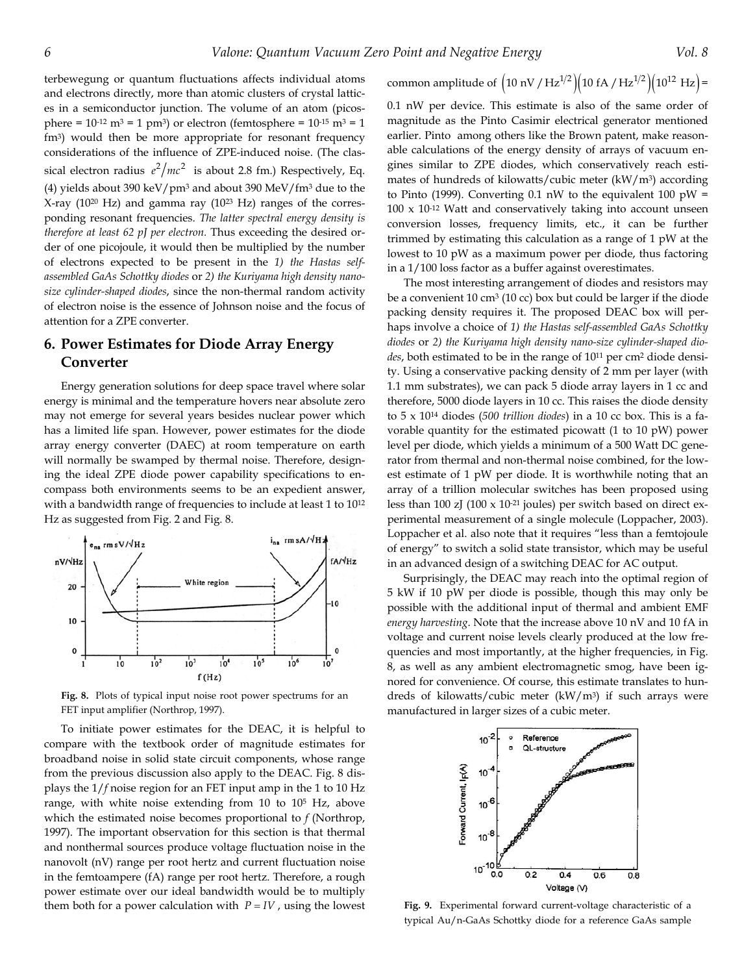terbewegung or quantum fluctuations affects individual atoms and electrons directly, more than atomic clusters of crystal lattices in a semiconductor junction. The volume of an atom (picosphere =  $10^{-12}$  m<sup>3</sup> = 1 pm<sup>3</sup>) or electron (femtosphere =  $10^{-15}$  m<sup>3</sup> = 1 fm3) would then be more appropriate for resonant frequency considerations of the influence of ZPE-induced noise. (The classical electron radius  $e^2/mc^2$  is about 2.8 fm.) Respectively, Eq. (4) yields about 390 keV/pm3 and about 390 MeV/fm3 due to the X-ray (1020 Hz) and gamma ray (1023 Hz) ranges of the corresponding resonant frequencies. *The latter spectral energy density is therefore at least 62 pJ per electron.* Thus exceeding the desired order of one picojoule, it would then be multiplied by the number of electrons expected to be present in the *1) the Hastas selfassembled GaAs Schottky diodes* or *2) the Kuriyama high density nanosize cylinder-shaped diodes*, since the non-thermal random activity of electron noise is the essence of Johnson noise and the focus of attention for a ZPE converter.

## **6. Power Estimates for Diode Array Energy Converter**

Energy generation solutions for deep space travel where solar energy is minimal and the temperature hovers near absolute zero may not emerge for several years besides nuclear power which has a limited life span. However, power estimates for the diode array energy converter (DAEC) at room temperature on earth will normally be swamped by thermal noise. Therefore, designing the ideal ZPE diode power capability specifications to encompass both environments seems to be an expedient answer, with a bandwidth range of frequencies to include at least 1 to 10<sup>12</sup> Hz as suggested from Fig. 2 and Fig. 8.



**Fig. 8.** Plots of typical input noise root power spectrums for an FET input amplifier (Northrop, 1997).

To initiate power estimates for the DEAC, it is helpful to compare with the textbook order of magnitude estimates for broadband noise in solid state circuit components, whose range from the previous discussion also apply to the DEAC. Fig. 8 displays the 1/*f* noise region for an FET input amp in the 1 to 10 Hz range, with white noise extending from 10 to 105 Hz, above which the estimated noise becomes proportional to *f* (Northrop, 1997). The important observation for this section is that thermal and nonthermal sources produce voltage fluctuation noise in the nanovolt (nV) range per root hertz and current fluctuation noise in the femtoampere (fA) range per root hertz. Therefore, a rough power estimate over our ideal bandwidth would be to multiply them both for a power calculation with  $P = IV$ , using the lowest

common amplitude of 
$$
(10 \text{ nV} / \text{Hz}^{1/2})(10 \text{ fA} / \text{Hz}^{1/2})(10^{12} \text{ Hz}) =
$$

0.1 nW per device. This estimate is also of the same order of magnitude as the Pinto Casimir electrical generator mentioned earlier. Pinto among others like the Brown patent, make reasonable calculations of the energy density of arrays of vacuum engines similar to ZPE diodes, which conservatively reach estimates of hundreds of kilowatts/cubic meter  $(kW/m<sup>3</sup>)$  according to Pinto (1999). Converting  $0.1$  nW to the equivalent  $100$  pW =  $100 \times 10^{-12}$  Watt and conservatively taking into account unseen conversion losses, frequency limits, etc., it can be further trimmed by estimating this calculation as a range of 1 pW at the lowest to 10 pW as a maximum power per diode, thus factoring in a 1/100 loss factor as a buffer against overestimates.

The most interesting arrangement of diodes and resistors may be a convenient 10 cm3 (10 cc) box but could be larger if the diode packing density requires it. The proposed DEAC box will perhaps involve a choice of *1) the Hastas self-assembled GaAs Schottky diodes* or *2) the Kuriyama high density nano-size cylinder-shaped dio*des, both estimated to be in the range of  $10^{11}$  per cm<sup>2</sup> diode density. Using a conservative packing density of 2 mm per layer (with 1.1 mm substrates), we can pack 5 diode array layers in 1 cc and therefore, 5000 diode layers in 10 cc. This raises the diode density to 5 x 1014 diodes (*500 trillion diodes*) in a 10 cc box. This is a favorable quantity for the estimated picowatt (1 to 10 pW) power level per diode, which yields a minimum of a 500 Watt DC generator from thermal and non-thermal noise combined, for the lowest estimate of 1 pW per diode. It is worthwhile noting that an array of a trillion molecular switches has been proposed using less than 100 zJ (100 x 10-21 joules) per switch based on direct experimental measurement of a single molecule (Loppacher, 2003). Loppacher et al. also note that it requires "less than a femtojoule of energy" to switch a solid state transistor, which may be useful in an advanced design of a switching DEAC for AC output.

Surprisingly, the DEAC may reach into the optimal region of 5 kW if 10 pW per diode is possible, though this may only be possible with the additional input of thermal and ambient EMF *energy harvesting*. Note that the increase above 10 nV and 10 fA in voltage and current noise levels clearly produced at the low frequencies and most importantly, at the higher frequencies, in Fig. 8, as well as any ambient electromagnetic smog, have been ignored for convenience. Of course, this estimate translates to hundreds of kilowatts/cubic meter  $(kW/m^3)$  if such arrays were manufactured in larger sizes of a cubic meter.



**Fig. 9.** Experimental forward current-voltage characteristic of a typical Au/n-GaAs Schottky diode for a reference GaAs sample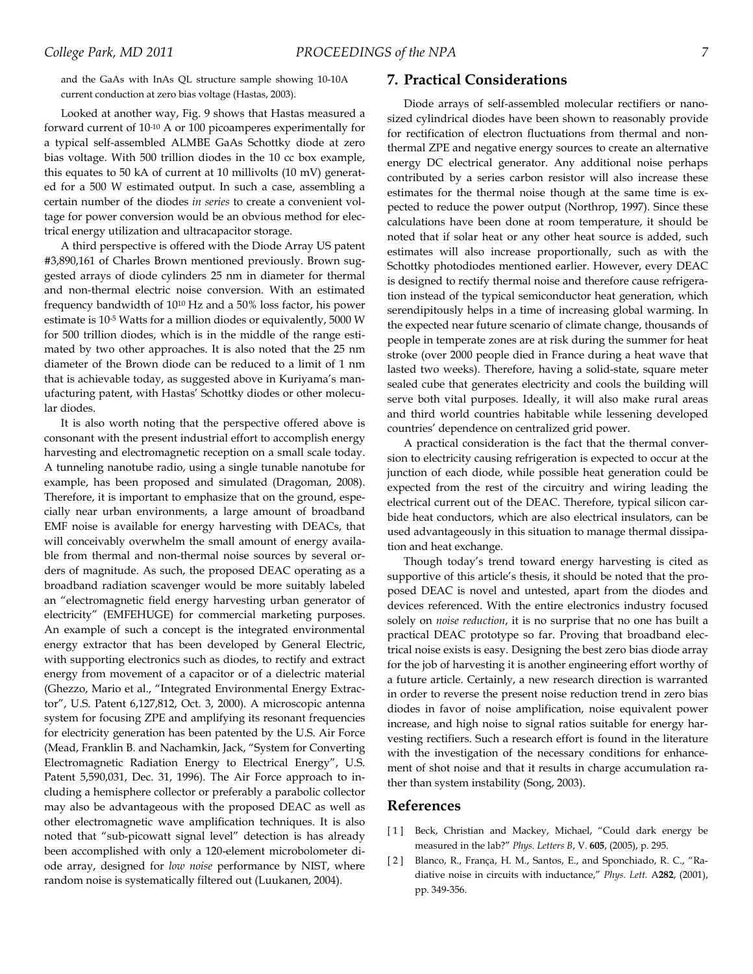and the GaAs with InAs QL structure sample showing 10-10A current conduction at zero bias voltage (Hastas, 2003).

Looked at another way, Fig. 9 shows that Hastas measured a forward current of 10-10 A or 100 picoamperes experimentally for a typical self-assembled ALMBE GaAs Schottky diode at zero bias voltage. With 500 trillion diodes in the 10 cc box example, this equates to 50 kA of current at 10 millivolts (10 mV) generated for a 500 W estimated output. In such a case, assembling a certain number of the diodes *in series* to create a convenient voltage for power conversion would be an obvious method for electrical energy utilization and ultracapacitor storage.

A third perspective is offered with the Diode Array US patent #3,890,161 of Charles Brown mentioned previously. Brown suggested arrays of diode cylinders 25 nm in diameter for thermal and non-thermal electric noise conversion. With an estimated frequency bandwidth of 1010 Hz and a 50% loss factor, his power estimate is 10-5 Watts for a million diodes or equivalently, 5000 W for 500 trillion diodes, which is in the middle of the range estimated by two other approaches. It is also noted that the 25 nm diameter of the Brown diode can be reduced to a limit of 1 nm that is achievable today, as suggested above in Kuriyama's manufacturing patent, with Hastas' Schottky diodes or other molecular diodes.

It is also worth noting that the perspective offered above is consonant with the present industrial effort to accomplish energy harvesting and electromagnetic reception on a small scale today. A tunneling nanotube radio, using a single tunable nanotube for example, has been proposed and simulated (Dragoman, 2008). Therefore, it is important to emphasize that on the ground, especially near urban environments, a large amount of broadband EMF noise is available for energy harvesting with DEACs, that will conceivably overwhelm the small amount of energy available from thermal and non-thermal noise sources by several orders of magnitude. As such, the proposed DEAC operating as a broadband radiation scavenger would be more suitably labeled an "electromagnetic field energy harvesting urban generator of electricity" (EMFEHUGE) for commercial marketing purposes. An example of such a concept is the integrated environmental energy extractor that has been developed by General Electric, with supporting electronics such as diodes, to rectify and extract energy from movement of a capacitor or of a dielectric material (Ghezzo, Mario et al., "Integrated Environmental Energy Extractor", U.S. Patent 6,127,812, Oct. 3, 2000). A microscopic antenna system for focusing ZPE and amplifying its resonant frequencies for electricity generation has been patented by the U.S. Air Force (Mead, Franklin B. and Nachamkin, Jack, "System for Converting Electromagnetic Radiation Energy to Electrical Energy", U.S. Patent 5,590,031, Dec. 31, 1996). The Air Force approach to including a hemisphere collector or preferably a parabolic collector may also be advantageous with the proposed DEAC as well as other electromagnetic wave amplification techniques. It is also noted that "sub-picowatt signal level" detection is has already been accomplished with only a 120-element microbolometer diode array, designed for *low noise* performance by NIST, where random noise is systematically filtered out (Luukanen, 2004).

#### **7. Practical Considerations**

Diode arrays of self-assembled molecular rectifiers or nanosized cylindrical diodes have been shown to reasonably provide for rectification of electron fluctuations from thermal and nonthermal ZPE and negative energy sources to create an alternative energy DC electrical generator. Any additional noise perhaps contributed by a series carbon resistor will also increase these estimates for the thermal noise though at the same time is expected to reduce the power output (Northrop, 1997). Since these calculations have been done at room temperature, it should be noted that if solar heat or any other heat source is added, such estimates will also increase proportionally, such as with the Schottky photodiodes mentioned earlier. However, every DEAC is designed to rectify thermal noise and therefore cause refrigeration instead of the typical semiconductor heat generation, which serendipitously helps in a time of increasing global warming. In the expected near future scenario of climate change, thousands of people in temperate zones are at risk during the summer for heat stroke (over 2000 people died in France during a heat wave that lasted two weeks). Therefore, having a solid-state, square meter sealed cube that generates electricity and cools the building will serve both vital purposes. Ideally, it will also make rural areas and third world countries habitable while lessening developed countries' dependence on centralized grid power.

A practical consideration is the fact that the thermal conversion to electricity causing refrigeration is expected to occur at the junction of each diode, while possible heat generation could be expected from the rest of the circuitry and wiring leading the electrical current out of the DEAC. Therefore, typical silicon carbide heat conductors, which are also electrical insulators, can be used advantageously in this situation to manage thermal dissipation and heat exchange.

Though today's trend toward energy harvesting is cited as supportive of this article's thesis, it should be noted that the proposed DEAC is novel and untested, apart from the diodes and devices referenced. With the entire electronics industry focused solely on *noise reduction*, it is no surprise that no one has built a practical DEAC prototype so far. Proving that broadband electrical noise exists is easy. Designing the best zero bias diode array for the job of harvesting it is another engineering effort worthy of a future article. Certainly, a new research direction is warranted in order to reverse the present noise reduction trend in zero bias diodes in favor of noise amplification, noise equivalent power increase, and high noise to signal ratios suitable for energy harvesting rectifiers. Such a research effort is found in the literature with the investigation of the necessary conditions for enhancement of shot noise and that it results in charge accumulation rather than system instability (Song, 2003).

#### **References**

- [1] Beck, Christian and Mackey, Michael, "Could dark energy be measured in the lab?" *Phys. Letters B*, V. **605**, (2005), p. 295.
- [ 2 ] Blanco, R., França, H. M., Santos, E., and Sponchiado, R. C., "Radiative noise in circuits with inductance," *Phys. Lett.* A**282**, (2001), pp. 349-356.